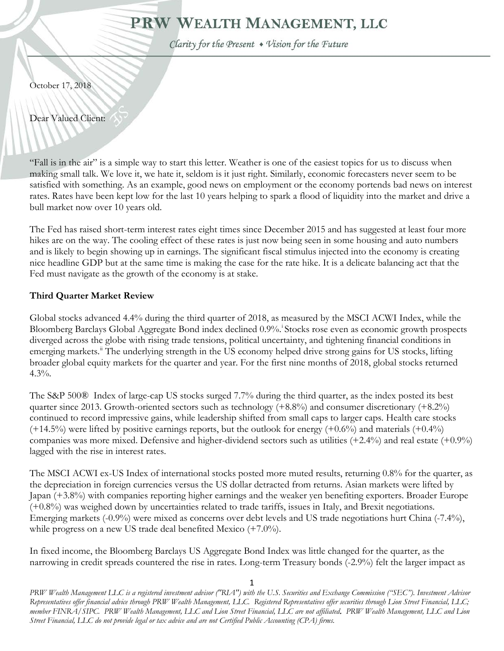# PRW WEALTH MANAGEMENT, LLC

Clarity for the Present • Vision for the Future

October 17, 2018

Dear Valued Client:

"Fall is in the air" is a simple way to start this letter. Weather is one of the easiest topics for us to discuss when making small talk. We love it, we hate it, seldom is it just right. Similarly, economic forecasters never seem to be satisfied with something. As an example, good news on employment or the economy portends bad news on interest rates. Rates have been kept low for the last 10 years helping to spark a flood of liquidity into the market and drive a bull market now over 10 years old.

The Fed has raised short-term interest rates eight times since December 2015 and has suggested at least four more hikes are on the way. The cooling effect of these rates is just now being seen in some housing and auto numbers and is likely to begin showing up in earnings. The significant fiscal stimulus injected into the economy is creating nice headline GDP but at the same time is making the case for the rate hike. It is a delicate balancing act that the Fed must navigate as the growth of the economy is at stake.

## **Third Quarter Market Review**

Global stocks advanced 4.4% during the third quarter of 2018, as measured by the MSCI ACWI Index, while the Bloomberg Barclays Global Aggregate Bond [i](#page-6-0)ndex declined 0.9% Stocks rose even as economic growth prospects diverged across the globe with rising trade tensions, political uncertainty, and tightening financial conditions in emerging markets.<sup>"</sup> The underlying strength in the US economy helped drive strong gains for US stocks, lifting broader global equity markets for the quarter and year. For the first nine months of 2018, global stocks returned  $4.3\%$ .

The S&P 500® Index of large-cap US stocks surged 7.7% during the third quarter, as the index posted its best quarter since 2013. Growth-oriented sectors such as technology (+8.8%) and consumer discretionary (+8.2%) continued to record impressive gains, while leadership shifted from small caps to larger caps. Health care stocks  $(+14.5%)$  were lifted by positive earnings reports, but the outlook for energy  $(+0.6%)$  and materials  $(+0.4%)$ companies was more mixed. Defensive and higher-dividend sectors such as utilities  $(+2.4\%)$  and real estate  $(+0.9\%)$ lagged with the rise in interest rates.

The MSCI ACWI ex-US Index of international stocks posted more muted results, returning 0.8% for the quarter, as the depreciation in foreign currencies versus the US dollar detracted from returns. Asian markets were lifted by Japan (+3.8%) with companies reporting higher earnings and the weaker yen benefiting exporters. Broader Europe (+0.8%) was weighed down by uncertainties related to trade tariffs, issues in Italy, and Brexit negotiations. Emerging markets (-0.9%) were mixed as concerns over debt levels and US trade negotiations hurt China (-7.4%), while progress on a new US trade deal benefited Mexico (+7.0%).

In fixed income, the Bloomberg Barclays US Aggregate Bond Index was little changed for the quarter, as the narrowing in credit spreads countered the rise in rates. Long-term Treasury bonds (-2.9%) felt the larger impact as

*PRW Wealth Management LLC is a registered investment advisor ("RIA") with the U.S. Securities and Exchange Commission ("SEC"). Investment Advisor Representatives offer financial advice through PRW Wealth Management, LLC. Registered Representatives offer securities through Lion Street Financial, LLC; member FINRA/SIPC. PRW Wealth Management, LLC and Lion Street Financial, LLC are not affiliated*. *PRW Wealth Management, LLC and Lion Street Financial, LLC do not provide legal or tax advice and are not Certified Public Accounting (CPA) firms.*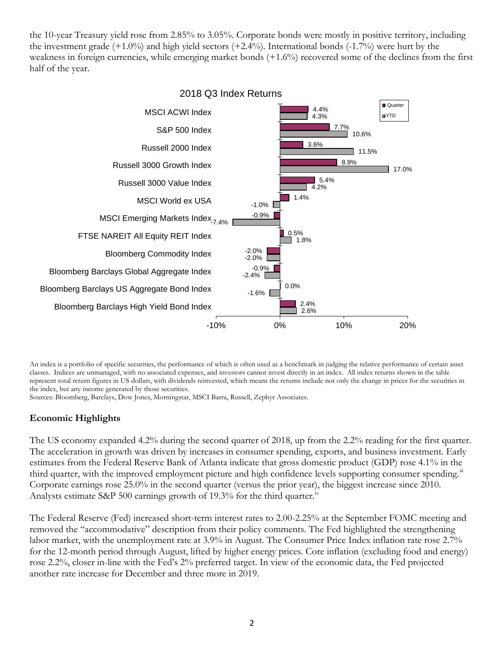the 10-year Treasury yield rose from 2.85% to 3.05%. Corporate bonds were mostly in positive territory, including the investment grade  $(+1.0\%)$  and high yield sectors  $(+2.4\%)$ . International bonds  $(-1.7\%)$  were hurt by the weakness in foreign currencies, while emerging market bonds (+1.6%) recovered some of the declines from the first half of the year.



An index is a portfolio of specific securities, the performance of which is often used as a benchmark in judging the relative performance of certain asset classes. Indices are unmanaged, with no associated expenses, and investors cannot invest directly in an index. All index returns shown in the table represent total return figures in US dollars, with dividends reinvested, which means the returns include not only the change in prices for the securities in the index, but any income generated by those securities.

Sources: Bloomberg, Barclays, Dow Jones, Morningstar, MSCI Barra, Russell, Zephyr Associates.

### **Economic Highlights**

The US economy expanded 4.2% during the second quarter of 2018, up from the 2.2% reading for the first quarter. The acceleration in growth was driven by increases in consumer spending, exports, and business investment. Early estimates from the Federal Reserve Bank of Atlanta indicate that gross domestic product (GDP) rose 4.1% in the third quarter, with the improved employment picture and high confidence levels supporting consumer spending.<sup>[iii](#page-6-2)</sup> Corporate earnings rose 25.0% in the second quarter (versus the prior year), the biggest increase since 2010. Analysts estimate S&P 500 earnings growth of 19.3% for the third quarter.<sup>[iv](#page-6-3)</sup>

The Federal Reserve (Fed) increased short-term interest rates to 2.00-2.25% at the September FOMC meeting and removed the "accommodative" description from their policy comments. The Fed highlighted the strengthening labor market, with the unemployment rate at 3.9% in August. The Consumer Price Index inflation rate rose 2.7% for the 12-month period through August, lifted by higher energy prices. Core inflation (excluding food and energy) rose 2.2%, closer in-line with the Fed's 2% preferred target. In view of the economic data, the Fed projected another rate increase for December and three more in 2019.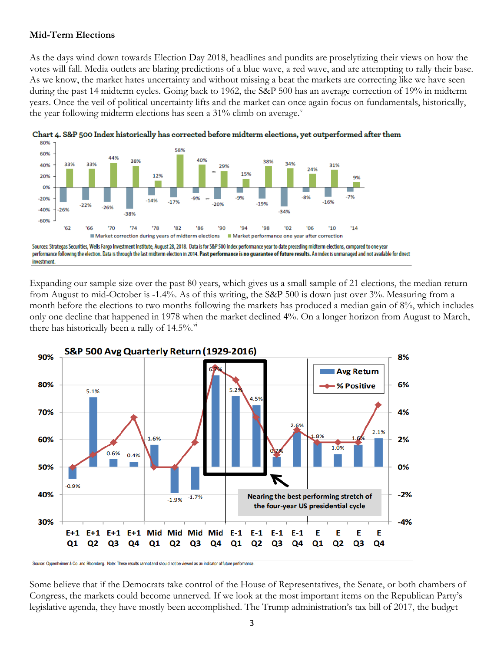### **Mid-Term Elections**

As the days wind down towards Election Day 2018, headlines and pundits are proselytizing their views on how the votes will fall. Media outlets are blaring predictions of a blue wave, a red wave, and are attempting to rally their base. As we know, the market hates uncertainty and without missing a beat the markets are correcting like we have seen during the past 14 midterm cycles. Going back to 1962, the S&P 500 has an average correction of 19% in midterm years. Once the veil of political uncertainty lifts and the market can once again focus on fundamentals, historically, the year following midterm elections has seen a 31% climb on a[v](#page-6-4)erage.



Chart 4. S&P 500 Index historically has corrected before midterm elections, yet outperformed after them

Expanding our sample size over the past 80 years, which gives us a small sample of 21 elections, the median return from August to mid-October is -1.4%. As of this writing, the S&P 500 is down just over 3%. Measuring from a month before the elections to two months following the markets has produced a median gain of 8%, which includes only one decline that happened in 1978 when the market declined 4%. On a longer horizon from August to March, there has historically been a rally of 14.5%.<sup>[vi](#page-6-5)</sup>



Some believe that if the Democrats take control of the House of Representatives, the Senate, or both chambers of Congress, the markets could become unnerved. If we look at the most important items on the Republican Party's legislative agenda, they have mostly been accomplished. The Trump administration's tax bill of 2017, the budget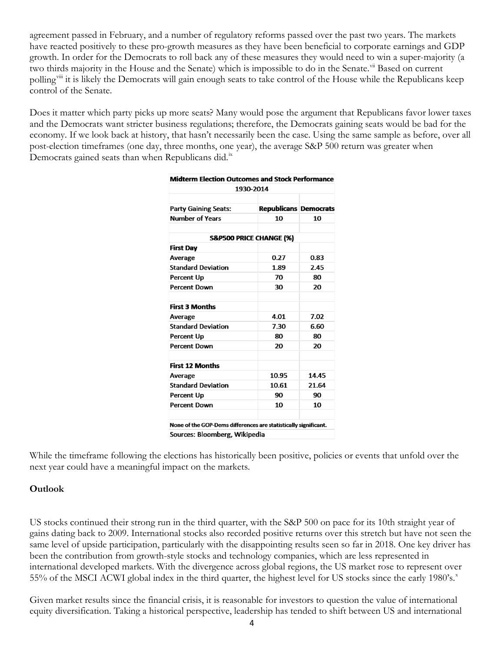agreement passed in February, and a number of regulatory reforms passed over the past two years. The markets have reacted positively to these pro-growth measures as they have been beneficial to corporate earnings and GDP growth. In order for the Democrats to roll back any of these measures they would need to win a super-majority (a two thirds majority in the House and the Senate) which is impossible to do in the Senate.<sup>[vii](#page-6-6)</sup> Based on current polling<sup>[viii](#page-6-7)</sup> it is likely the Democrats will gain enough seats to take control of the House while the Republicans keep control of the Senate.

Does it matter which party picks up more seats? Many would pose the argument that Republicans favor lower taxes and the Democrats want stricter business regulations; therefore, the Democrats gaining seats would be bad for the economy. If we look back at history, that hasn't necessarily been the case. Using the same sample as before, over all post-election timeframes (one day, three months, one year), the average S&P 500 return was greater when Democrats gained seats than when Republicans did.<sup>[ix](#page-6-8)</sup>

| <b>Midterm Election Outcomes and Stock Performance</b><br>1930-2014 |                              |       |
|---------------------------------------------------------------------|------------------------------|-------|
|                                                                     |                              |       |
| <b>Party Gaining Seats:</b>                                         | <b>Republicans Democrats</b> |       |
| Number of Years                                                     | 10                           | 10    |
|                                                                     | S&P500 PRICE CHANGE (%)      |       |
| <b>First Dav</b>                                                    |                              |       |
| Average                                                             | 0.27                         | 0.83  |
| <b>Standard Deviation</b>                                           | 1.89                         | 2.45  |
| Percent Up                                                          | 70                           | 80    |
| <b>Percent Down</b>                                                 | 30                           | 20    |
| <b>First 3 Months</b>                                               |                              |       |
| Average                                                             | 4.01                         | 7.02  |
| <b>Standard Deviation</b>                                           | 7.30                         | 6.60  |
| Percent Up                                                          | 80                           | 80    |
| <b>Percent Down</b>                                                 | 20                           | 20    |
| <b>First 12 Months</b>                                              |                              |       |
| Average                                                             | 10.95                        | 14.45 |
| <b>Standard Deviation</b>                                           | 10.61                        | 21.64 |
| <b>Percent Up</b>                                                   | 90                           | 90    |
| <b>Percent Down</b>                                                 | 10                           | 10    |
| None of the GOP-Dems differences are statistically significant.     |                              |       |
| Sources: Bloomberg, Wikipedia                                       |                              |       |

While the timeframe following the elections has historically been positive, policies or events that unfold over the next year could have a meaningful impact on the markets.

### **Outlook**

US stocks continued their strong run in the third quarter, with the S&P 500 on pace for its 10th straight year of gains dating back to 2009. International stocks also recorded positive returns over this stretch but have not seen the same level of upside participation, particularly with the disappointing results seen so far in 2018. One key driver has been the contribution from growth-style stocks and technology companies, which are less represented in international developed markets. With the divergence across global regions, the US market rose to represent over 55% of the MSCI ACWI global inde[x](#page-6-9) in the third quarter, the highest level for US stocks since the early 1980's.<sup>x</sup>

Given market results since the financial crisis, it is reasonable for investors to question the value of international equity diversification. Taking a historical perspective, leadership has tended to shift between US and international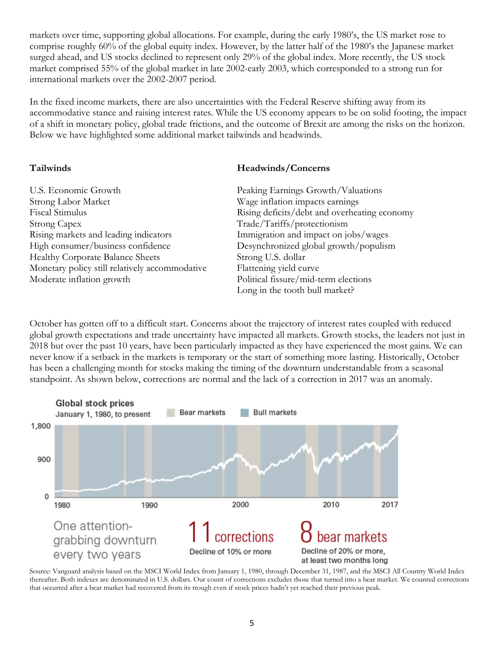markets over time, supporting global allocations. For example, during the early 1980's, the US market rose to comprise roughly 60% of the global equity index. However, by the latter half of the 1980's the Japanese market surged ahead, and US stocks declined to represent only 29% of the global index. More recently, the US stock market comprised 55% of the global market in late 2002-early 2003, which corresponded to a strong run for international markets over the 2002-2007 period.

In the fixed income markets, there are also uncertainties with the Federal Reserve shifting away from its accommodative stance and raising interest rates. While the US economy appears to be on solid footing, the impact of a shift in monetary policy, global trade frictions, and the outcome of Brexit are among the risks on the horizon. Below we have highlighted some additional market tailwinds and headwinds.

### **Tailwinds Headwinds/Concerns**

| U.S. Economic Growth                           | Peaking Earnings Growth/Valuations           |  |
|------------------------------------------------|----------------------------------------------|--|
| Strong Labor Market                            | Wage inflation impacts earnings              |  |
| Fiscal Stimulus                                | Rising deficits/debt and overheating economy |  |
| Strong Capex                                   | Trade/Tariffs/protectionism                  |  |
| Rising markets and leading indicators          | Immigration and impact on jobs/wages         |  |
| High consumer/business confidence              | Desynchronized global growth/populism        |  |
| <b>Healthy Corporate Balance Sheets</b>        | Strong U.S. dollar                           |  |
| Monetary policy still relatively accommodative | Flattening yield curve                       |  |
| Moderate inflation growth                      | Political fissure/mid-term elections         |  |
|                                                | Long in the tooth bull market?               |  |

October has gotten off to a difficult start. Concerns about the trajectory of interest rates coupled with reduced global growth expectations and trade uncertainty have impacted all markets. Growth stocks, the leaders not just in 2018 but over the past 10 years, have been particularly impacted as they have experienced the most gains. We can never know if a setback in the markets is temporary or the start of something more lasting. Historically, October has been a challenging month for stocks making the timing of the downturn understandable from a seasonal standpoint. As shown below, corrections are normal and the lack of a correction in 2017 was an anomaly.



Source: Vanguard analysis based on the MSCI World Index from January 1, 1980, through December 31, 1987, and the MSCI All Country World Index thereafter. Both indexes are denominated in U.S. dollars. Our count of corrections excludes those that turned into a bear market. We counted corrections that occurred after a bear market had recovered from its trough even if stock prices hadn't yet reached their previous peak.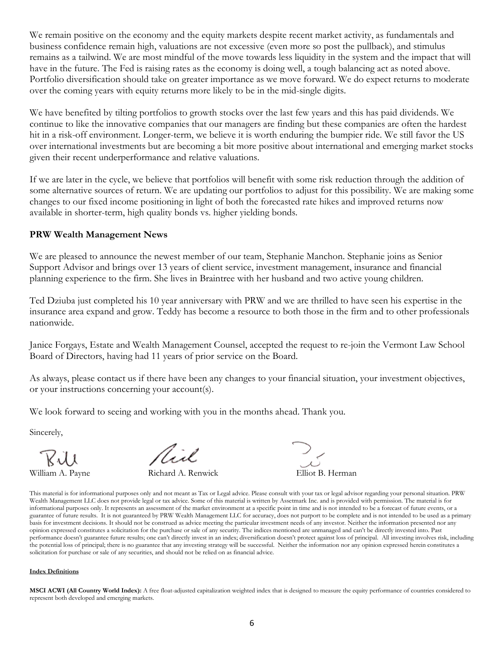We remain positive on the economy and the equity markets despite recent market activity, as fundamentals and business confidence remain high, valuations are not excessive (even more so post the pullback), and stimulus remains as a tailwind. We are most mindful of the move towards less liquidity in the system and the impact that will have in the future. The Fed is raising rates as the economy is doing well, a tough balancing act as noted above. Portfolio diversification should take on greater importance as we move forward. We do expect returns to moderate over the coming years with equity returns more likely to be in the mid-single digits.

We have benefited by tilting portfolios to growth stocks over the last few years and this has paid dividends. We continue to like the innovative companies that our managers are finding but these companies are often the hardest hit in a risk-off environment. Longer-term, we believe it is worth enduring the bumpier ride. We still favor the US over international investments but are becoming a bit more positive about international and emerging market stocks given their recent underperformance and relative valuations.

If we are later in the cycle, we believe that portfolios will benefit with some risk reduction through the addition of some alternative sources of return. We are updating our portfolios to adjust for this possibility. We are making some changes to our fixed income positioning in light of both the forecasted rate hikes and improved returns now available in shorter-term, high quality bonds vs. higher yielding bonds.

### **PRW Wealth Management News**

We are pleased to announce the newest member of our team, Stephanie Manchon. Stephanie joins as Senior Support Advisor and brings over 13 years of client service, investment management, insurance and financial planning experience to the firm. She lives in Braintree with her husband and two active young children.

Ted Dziuba just completed his 10 year anniversary with PRW and we are thrilled to have seen his expertise in the insurance area expand and grow. Teddy has become a resource to both those in the firm and to other professionals nationwide.

Janice Forgays, Estate and Wealth Management Counsel, accepted the request to re-join the Vermont Law School Board of Directors, having had 11 years of prior service on the Board.

As always, please contact us if there have been any changes to your financial situation, your investment objectives, or your instructions concerning your account(s).

We look forward to seeing and working with you in the months ahead. Thank you.

Sincerely,

Ril

Rull<br>William A. Payne Richard A. Renwick Elliot B. Herman

This material is for informational purposes only and not meant as Tax or Legal advice. Please consult with your tax or legal advisor regarding your personal situation. PRW Wealth Management LLC does not provide legal or tax advice. Some of this material is written by Assetmark Inc. and is provided with permission. The material is for informational purposes only. It represents an assessment of the market environment at a specific point in time and is not intended to be a forecast of future events, or a guarantee of future results. It is not guaranteed by PRW Wealth Management LLC for accuracy, does not purport to be complete and is not intended to be used as a primary basis for investment decisions. It should not be construed as advice meeting the particular investment needs of any investor. Neither the information presented nor any opinion expressed constitutes a solicitation for the purchase or sale of any security. The indices mentioned are unmanaged and can't be directly invested into. Past performance doesn't guarantee future results; one can't directly invest in an index; diversification doesn't protect against loss of principal. All investing involves risk, including the potential loss of principal; there is no guarantee that any investing strategy will be successful. Neither the information nor any opinion expressed herein constitutes a solicitation for purchase or sale of any securities, and should not be relied on as financial advice.

#### **Index Definitions**

**MSCI ACWI (All Country World Index):** A free float-adjusted capitalization weighted index that is designed to measure the equity performance of countries considered to represent both developed and emerging markets.